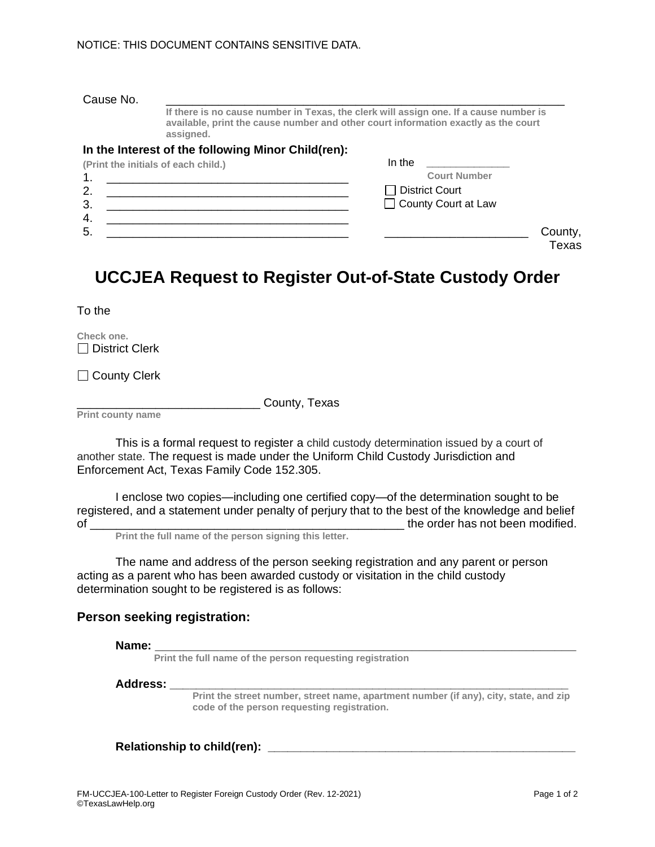## Cause No. \_\_\_\_\_\_\_\_\_\_\_\_\_\_\_\_\_\_\_\_\_\_\_\_\_\_\_\_\_\_\_\_\_\_\_\_\_\_\_\_\_\_\_\_\_\_\_\_\_\_\_\_\_\_\_\_\_\_\_\_\_

**If there is no cause number in Texas, the clerk will assign one. If a cause number is available, print the cause number and other court information exactly as the court assigned.**

#### **In the Interest of the following Minor Child(ren):**

| (Print the initials of each child.) | In the                |
|-------------------------------------|-----------------------|
| 4                                   | <b>Court Number</b>   |
| 2.                                  | $\Box$ District Court |
| 3.                                  | □ County Court at Law |
| 4.                                  |                       |
| 5                                   | County,               |
|                                     | Texas                 |

# **UCCJEA Request to Register Out-of-State Custody Order**

To the

**Check one.**  $\Box$  District Clerk

□ County Clerk

\_\_\_\_\_\_\_\_\_\_\_\_\_\_\_\_\_\_\_\_\_\_\_\_\_\_\_\_ County, Texas

**Print county name**

This is a formal request to register a child custody determination issued by a court of another state. The request is made under the Uniform Child Custody Jurisdiction and Enforcement Act, Texas Family Code 152.305.

I enclose two copies—including one certified copy—of the determination sought to be registered, and a statement under penalty of perjury that to the best of the knowledge and belief of the order has not been modified.

**Print the full name of the person signing this letter.**

The name and address of the person seeking registration and any parent or person acting as a parent who has been awarded custody or visitation in the child custody determination sought to be registered is as follows:

# **Person seeking registration:**

**Name: \_\_\_\_\_\_\_\_\_\_\_\_\_\_\_\_\_\_\_\_\_\_\_\_\_\_\_\_\_\_\_\_\_\_\_\_\_\_\_\_\_\_\_\_\_\_\_\_\_\_\_\_\_\_\_\_\_\_\_**

**Print the full name of the person requesting registration** 

#### **Address: \_\_\_\_\_\_\_\_\_\_\_\_\_\_\_\_\_\_\_\_\_\_\_\_\_\_\_\_\_\_\_\_\_\_\_\_\_\_\_\_\_\_\_\_\_\_\_\_\_\_\_\_\_\_\_\_\_\_\_\_\_**

**Print the street number, street name, apartment number (if any), city, state, and zip code of the person requesting registration.**

**Relationship to child(ren): \_\_\_\_\_\_\_\_\_\_\_\_\_\_\_\_\_\_\_\_\_\_\_\_\_\_\_\_\_\_\_\_\_\_\_\_\_\_\_\_\_\_\_\_\_\_\_**